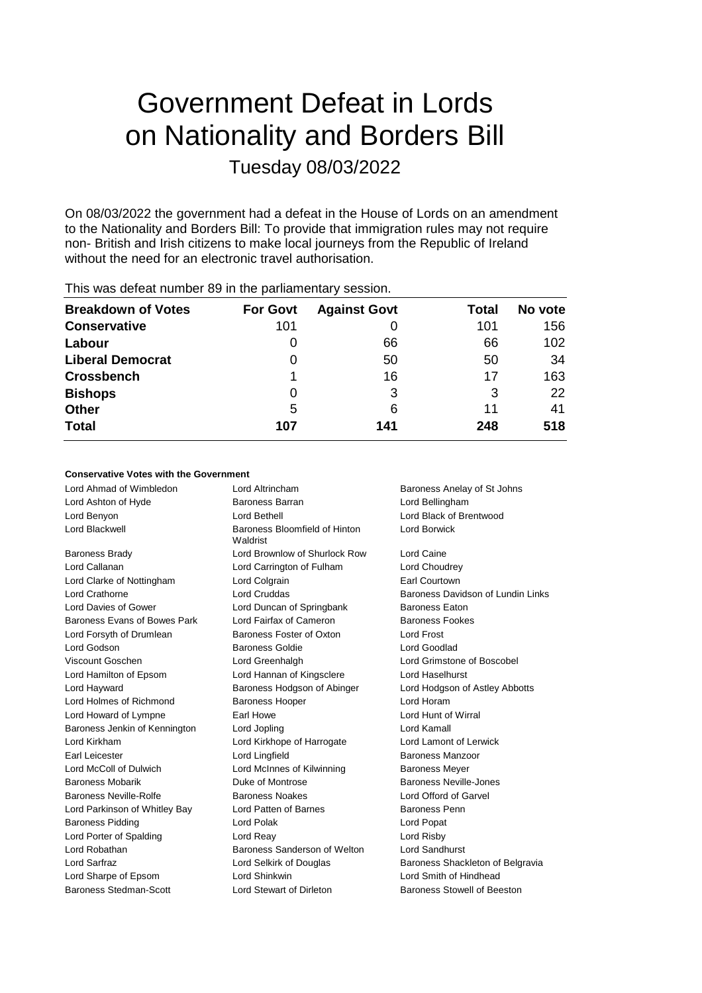# Government Defeat in Lords on Nationality and Borders Bill Tuesday 08/03/2022

On 08/03/2022 the government had a defeat in the House of Lords on an amendment to the Nationality and Borders Bill: To provide that immigration rules may not require non- British and Irish citizens to make local journeys from the Republic of Ireland without the need for an electronic travel authorisation.

| <b>For Govt</b> | <b>Against Govt</b> | Total | No vote |
|-----------------|---------------------|-------|---------|
| 101             |                     | 101   | 156     |
|                 | 66                  | 66    | 102     |
| 0               | 50                  | 50    | 34      |
|                 | 16                  | 17    | 163     |
| 0               | 3                   | 3     | 22      |
| 5               | 6                   | 11    | 41      |
| 107             | 141                 | 248   | 518     |
|                 |                     |       |         |

This was defeat number 89 in the parliamentary session.

## **Conservative Votes with the Government**

Lord Ahmad of Wimbledon Lord Altrincham Baroness Anelay of St Johns Lord Ashton of Hyde Baroness Barran Lord Bellingham Lord Benyon Lord Bethell Lord Black of Brentwood Lord Blackwell **Baroness Bloomfield of Hinton** Waldrist Lord Borwick Baroness Brady Lord Brownlow of Shurlock Row Lord Caine Lord Callanan Lord Carrington of Fulham Lord Choudrey Lord Clarke of Nottingham Lord Colgrain **Earl Courtown** Lord Crathorne **Lord Cruddas Baroness Davidson of Lundin Links** Lord Davies of Gower **Lord Duncan of Springbank** Baroness Eaton Baroness Evans of Bowes Park Lord Fairfax of Cameron Baroness Fookes Lord Forsyth of Drumlean Baroness Foster of Oxton Lord Frost Lord Godson Baroness Goldie Lord Goodlad Viscount Goschen Lord Greenhalgh Lord Grimstone of Boscobel Lord Hamilton of Epsom Lord Hannan of Kingsclere Lord Haselhurst Lord Hayward Baroness Hodgson of Abinger Lord Hodgson of Astley Abbotts Lord Holmes of Richmond Baroness Hooper Correct Lord Horam Lord Howard of Lympne Earl Howe Lord Hunt of Wirral Baroness Jenkin of Kennington Lord Jopling Lord Kamall Lord Kirkham Lord Kirkhope of Harrogate Lord Lamont of Lerwick Earl Leicester **Lord Lingfield** Baroness Manzoor Lord McColl of Dulwich **Lord McInnes of Kilwinning** Baroness Meyer Baroness Mobarik **Baroness Mobaric Election** Duke of Montrose **Baroness Neville-Jones** Baroness Neville-Rolfe **Baroness Noakes** Lord Offord of Garvel Lord Parkinson of Whitley Bay Lord Patten of Barnes Baroness Penn Baroness Pidding **Lord Polak** Lord Polak **Lord Popat** Lord Porter of Spalding Lord Reay Lord Risby Lord Robathan Baroness Sanderson of Welton Lord Sandhurst Lord Sarfraz **Lord Selkirk of Douglas** Baroness Shackleton of Belgravia Lord Sharpe of Epsom Lord Shinkwin Lord Smith of Hindhead Baroness Stedman-Scott **Lord Stewart of Dirleton** Baroness Stowell of Beeston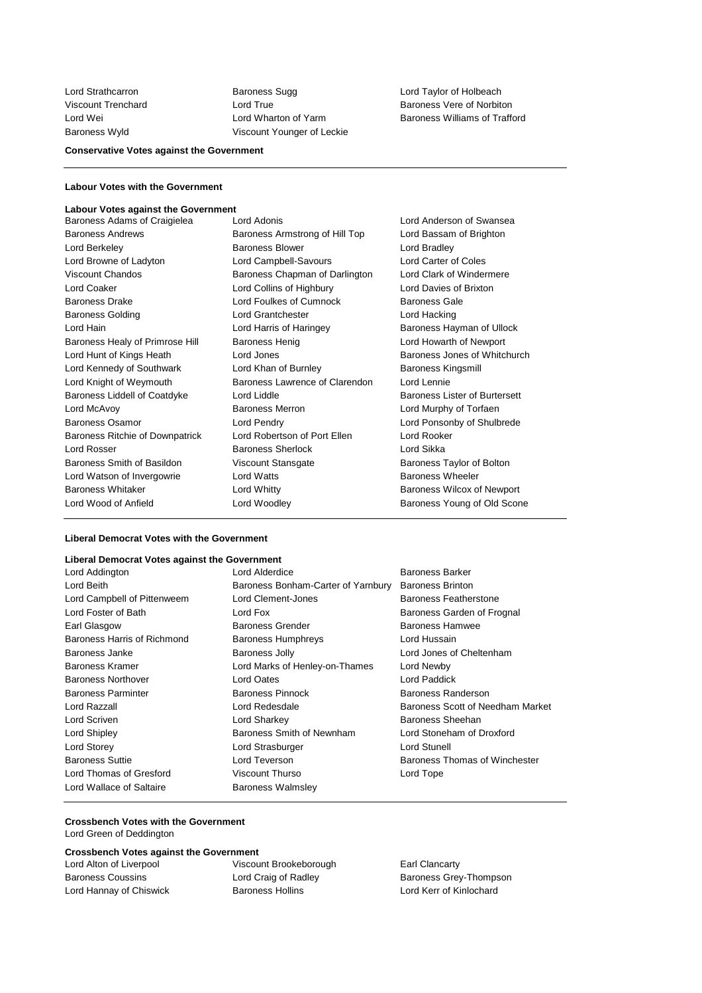Lord Strathcarron Baroness Sugg Lord Taylor of Holbeach Viscount Trenchard Lord True Baroness Vere of Norbiton Baroness Wyld Viscount Younger of Leckie

Lord Wei Lord Wharton of Yarm Baroness Williams of Trafford

## **Conservative Votes against the Government**

## **Labour Votes with the Government**

#### **Labour Votes against the Government**

| Baroness Adams of Craigielea    | Lord Adonis                    | Lord Anderson of Swansea      |
|---------------------------------|--------------------------------|-------------------------------|
| <b>Baroness Andrews</b>         | Baroness Armstrong of Hill Top | Lord Bassam of Brighton       |
| Lord Berkeley                   | <b>Baroness Blower</b>         | Lord Bradley                  |
| Lord Browne of Ladyton          | Lord Campbell-Savours          | Lord Carter of Coles          |
| <b>Viscount Chandos</b>         | Baroness Chapman of Darlington | Lord Clark of Windermere      |
| Lord Coaker                     | Lord Collins of Highbury       | Lord Davies of Brixton        |
| <b>Baroness Drake</b>           | Lord Foulkes of Cumnock        | <b>Baroness Gale</b>          |
| <b>Baroness Golding</b>         | Lord Grantchester              | Lord Hacking                  |
| Lord Hain                       | Lord Harris of Haringey        | Baroness Hayman of Ullock     |
| Baroness Healy of Primrose Hill | <b>Baroness Henig</b>          | Lord Howarth of Newport       |
| Lord Hunt of Kings Heath        | Lord Jones                     | Baroness Jones of Whitchurch  |
| Lord Kennedy of Southwark       | Lord Khan of Burnley           | Baroness Kingsmill            |
| Lord Knight of Weymouth         | Baroness Lawrence of Clarendon | Lord Lennie                   |
| Baroness Liddell of Coatdyke    | Lord Liddle                    | Baroness Lister of Burtersett |
| Lord McAvoy                     | <b>Baroness Merron</b>         | Lord Murphy of Torfaen        |
| Baroness Osamor                 | Lord Pendry                    | Lord Ponsonby of Shulbrede    |
| Baroness Ritchie of Downpatrick | Lord Robertson of Port Ellen   | Lord Rooker                   |
| Lord Rosser                     | Baroness Sherlock              | Lord Sikka                    |
| Baroness Smith of Basildon      | Viscount Stansgate             | Baroness Taylor of Bolton     |
| Lord Watson of Invergowrie      | <b>Lord Watts</b>              | <b>Baroness Wheeler</b>       |
| <b>Baroness Whitaker</b>        | Lord Whitty                    | Baroness Wilcox of Newport    |
| Lord Wood of Anfield            | Lord Woodley                   | Baroness Young of Old Scone   |

## **Liberal Democrat Votes with the Government**

# **Liberal Democrat Votes against the Government**

| Liberal Democrat votes against the Government |                                    |                                  |
|-----------------------------------------------|------------------------------------|----------------------------------|
| Lord Addington                                | Lord Alderdice                     | <b>Baroness Barker</b>           |
| Lord Beith                                    | Baroness Bonham-Carter of Yarnbury | <b>Baroness Brinton</b>          |
| Lord Campbell of Pittenweem                   | Lord Clement-Jones                 | <b>Baroness Featherstone</b>     |
| Lord Foster of Bath                           | Lord Fox                           | Baroness Garden of Frognal       |
| Earl Glasgow                                  | <b>Baroness Grender</b>            | <b>Baroness Hamwee</b>           |
| Baroness Harris of Richmond                   | <b>Baroness Humphreys</b>          | Lord Hussain                     |
| Baroness Janke                                | Baroness Jolly                     | Lord Jones of Cheltenham         |
| <b>Baroness Kramer</b>                        | Lord Marks of Henley-on-Thames     | Lord Newby                       |
| <b>Baroness Northover</b>                     | Lord Oates                         | Lord Paddick                     |
| <b>Baroness Parminter</b>                     | Baroness Pinnock                   | Baroness Randerson               |
| Lord Razzall                                  | Lord Redesdale                     | Baroness Scott of Needham Market |
| Lord Scriven                                  | Lord Sharkey                       | Baroness Sheehan                 |
| Lord Shipley                                  | Baroness Smith of Newnham          | Lord Stoneham of Droxford        |
| Lord Storey                                   | Lord Strasburger                   | Lord Stunell                     |
| <b>Baroness Suttie</b>                        | Lord Teverson                      | Baroness Thomas of Winchester    |
| Lord Thomas of Gresford                       | Viscount Thurso                    | Lord Tope                        |
| Lord Wallace of Saltaire                      | Baroness Walmsley                  |                                  |

# **Crossbench Votes with the Government**

Lord Green of Deddington

## **Crossbench Votes against the Government**

Lord Alton of Liverpool Viscount Brookeborough Earl Clancarty Lord Hannay of Chiswick Baroness Hollins Lord Kerr of Kinlochard

Baroness Coussins Lord Craig of Radley Baroness Grey-Thompson